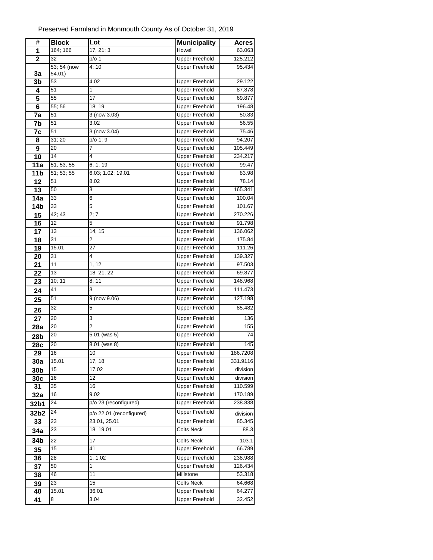| #                      | <b>Block</b> | Lot                      | <b>Municipality</b>                            | <b>Acres</b>       |
|------------------------|--------------|--------------------------|------------------------------------------------|--------------------|
| 1                      | 164; 166     | 17, 21; 3                | Howell                                         | 63.063             |
| $\overline{2}$         | 32           | $p/o$ 1                  | <b>Upper Freehold</b>                          | 125.212            |
|                        | 53; 54 (now  | 4;10                     | <b>Upper Freehold</b>                          | 95.434             |
| 3a                     | 54.01)       |                          |                                                |                    |
| 3 <sub>b</sub>         | 53           | 4.02                     | <b>Upper Freehold</b>                          | 29.122             |
| 4                      | 51           | 1                        | <b>Upper Freehold</b>                          | 87.878             |
| 5                      | 55           | 17                       | <b>Upper Freehold</b>                          | 69.877             |
| 6                      | 55; 56       | 18; 19                   | <b>Upper Freehold</b>                          | 196.48             |
| 7a                     | 51           | 3 (now 3.03)             | <b>Upper Freehold</b>                          | 50.83              |
| 7b                     | 51<br>51     | 3.02                     | <b>Upper Freehold</b><br><b>Upper Freehold</b> | 56.55              |
| 7c                     |              | $3$ (now $3.04$ )        |                                                | 75.46              |
| 8                      | 31; 20       | p/o 1; 9                 | <b>Upper Freehold</b>                          | 94.207             |
| 9                      | 20<br>14     | 7<br>4                   | <b>Upper Freehold</b><br><b>Upper Freehold</b> | 105.449<br>234.217 |
| 10                     | 51, 53, 55   | 6, 1, 19                 | <b>Upper Freehold</b>                          | 99.47              |
| 11a<br>11 <sub>b</sub> | 51; 53; 55   | 6.03; 1.02; 19.01        | <b>Upper Freehold</b>                          | 83.98              |
| 12                     | 51           | 8.02                     | <b>Upper Freehold</b>                          | 78.14              |
| 13                     | 50           | 3                        | <b>Upper Freehold</b>                          | 165.341            |
| 14a                    | 33           | 6                        | <b>Upper Freehold</b>                          | 100.04             |
| 14 <sub>b</sub>        | 33           | 5                        | <b>Upper Freehold</b>                          | 101.67             |
| 15                     | 42; 43       | 2; 7                     | <b>Upper Freehold</b>                          | 270.226            |
| 16                     | 12           | 5                        | <b>Upper Freehold</b>                          | 91.798             |
| 17                     | 13           | 14, 15                   | <b>Upper Freehold</b>                          | 136.062            |
| 18                     | 31           | 2                        | <b>Upper Freehold</b>                          | 175.84             |
| 19                     | 15.01        | 27                       | <b>Upper Freehold</b>                          | 111.26             |
| 20                     | 31           | 4                        | <b>Upper Freehold</b>                          | 139.327            |
| 21                     | 11           | 1, 12                    | <b>Upper Freehold</b>                          | 97.503             |
| 22                     | 13           | 18, 21, 22               | <b>Upper Freehold</b>                          | 69.877             |
| 23                     | 10; 11       | 8; 11                    | <b>Upper Freehold</b>                          | 148.968            |
| 24                     | 41           | 3                        | <b>Upper Freehold</b>                          | 111.473            |
| 25                     | 51           | 9 (now 9.06)             | <b>Upper Freehold</b>                          | 127.198            |
|                        | 32           | 5                        | <b>Upper Freehold</b>                          | 85.482             |
| 26                     |              |                          |                                                |                    |
| 27                     | 20           | 3                        | <b>Upper Freehold</b>                          | 136                |
| 28a                    | 20           | $\overline{2}$           | <b>Upper Freehold</b>                          | 155                |
| 28b                    | 20           | 5.01 (was 5)             | <b>Upper Freehold</b>                          | 74                 |
| 28c                    | 20           | 8.01 (was 8)             | <b>Upper Freehold</b>                          | 145                |
| 29                     | 16           | 10                       | <b>Upper Freehold</b>                          | 186.7208           |
| 30a                    | 15.01        | 17, 18                   | <b>Upper Freehold</b>                          | 331.9116           |
| 30 <sub>b</sub>        | 15           | 17.02                    | <b>Upper Freehold</b>                          | division           |
| 30c                    | 16           | 12<br>16                 | <b>Upper Freehold</b><br><b>Upper Freehold</b> | division           |
| 31                     | 35<br>16     | 9.02                     | <b>Upper Freehold</b>                          | 110.599<br>170.189 |
| 32a                    | 24           | p/o 23 (reconfigured)    | <b>Upper Freehold</b>                          | 238.838            |
| 32b1                   |              |                          |                                                |                    |
| 32b2                   | 24           | p/o 22.01 (reconfigured) | <b>Upper Freehold</b>                          | division           |
| 33                     | 23           | 23.01, 25.01             | <b>Upper Freehold</b>                          | 85.345             |
| 34a                    | 23           | 18, 19.01                | <b>Colts Neck</b>                              | 88.3               |
| 34b                    | 22           | 17                       | <b>Colts Neck</b>                              | 103.1              |
| 35                     | 15           | 41                       | <b>Upper Freehold</b>                          | 66.789             |
| 36                     | 28           | 1, 1.02                  | <b>Upper Freehold</b>                          | 238.988            |
| 37                     | 50           | 1                        | <b>Upper Freehold</b>                          | 126.434            |
| 38                     | 46           | 11                       | Millstone                                      | 53.318             |
| 39                     | 23           | 15                       | <b>Colts Neck</b>                              | 64.668             |
| 40                     | 15.01        | 36.01                    | <b>Upper Freehold</b>                          | 64.277             |
| 41                     | 8            | 3.04                     | <b>Upper Freehold</b>                          | 32.452             |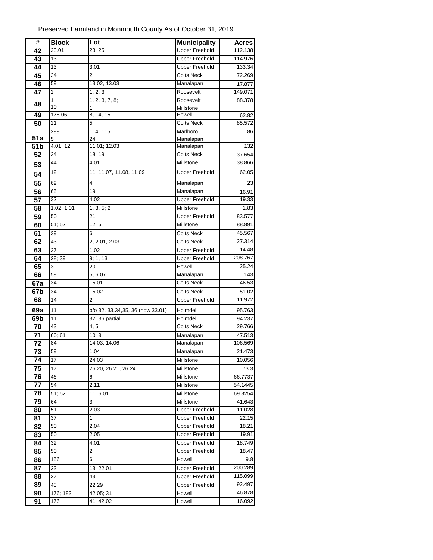| $\#$       | <b>Block</b>  | Lot                              | <b>Municipality</b>    | <b>Acres</b> |
|------------|---------------|----------------------------------|------------------------|--------------|
| 42         | 23.01         | 23, 25                           | <b>Upper Freehold</b>  | 112.138      |
| 43         | 13            | 1                                | <b>Upper Freehold</b>  | 114.976      |
| 44         | 13            | 3.01                             | <b>Upper Freehold</b>  | 133.34       |
| 45         | 34            | $\overline{2}$                   | <b>Colts Neck</b>      | 72.269       |
| 46         | 59            | 13.02, 13.03                     | Manalapan              | 17.877       |
| 47         | 2             | 1, 2, 3                          | Roosevelt              | 149.071      |
| 48         | 1             | 1, 2, 3, 7, 8;                   | Roosevelt              | 88.378       |
|            | 10            | 1                                | Millstone              |              |
| 49         | 178.06        | 8, 14, 15                        | Howell                 | 62.82        |
| 50         | 21            | 5                                | <b>Colts Neck</b>      | 85.572       |
|            | 299           | 114, 115                         | Marlboro               | 86           |
| 51a<br>51b | 5<br>4.01; 12 | 24<br>11.01; 12.03               | Manalapan<br>Manalapan | 132          |
| 52         | 34            | 18, 19                           | <b>Colts Neck</b>      | 37.654       |
|            | 44            | 4.01                             | Millstone              | 38.866       |
| 53         |               |                                  |                        |              |
| 54         | 12            | 11, 11.07, 11.08, 11.09          | <b>Upper Freehold</b>  | 62.05        |
| 55         | 69            | 4                                | Manalapan              | 23           |
| 56         | 65            | 19                               | Manalapan              | 16.91        |
| 57         | 32            | 4.02                             | Upper Freehold         | 19.33        |
| 58         | 1.02; 1.01    | 1, 3, 5; 2                       | Millstone              | 1.83         |
| 59         | 50            | 21                               | <b>Upper Freehold</b>  | 83.577       |
| 60         | 51; 52        | 12; 5                            | Millstone              | 88.891       |
| 61         | 39            | 6                                | <b>Colts Neck</b>      | 45.567       |
| 62         | 43            | 2, 2.01, 2.03                    | <b>Colts Neck</b>      | 27.314       |
| 63         | 37            | 1.02                             | <b>Upper Freehold</b>  | 14.48        |
| 64         | 28; 39        | 9; 1, 13                         | <b>Upper Freehold</b>  | 208.767      |
| 65         | 3             | 20                               | Howell                 | 25.24        |
| 66         | 59            | $\overline{5}$ , 6.07            | Manalapan              | 143          |
| 67a        | 34            | 15.01                            | <b>Colts Neck</b>      | 46.53        |
| 67b        | 34            | 15.02                            | <b>Colts Neck</b>      | 51.02        |
| 68         | 14            | $\overline{2}$                   | <b>Upper Freehold</b>  | 11.972       |
| 69a        | 11            | p/o 32, 33,34,35, 36 (now 33.01) | Holmdel                | 95.763       |
| 69b        | 11            | 32, 36 partial                   | Holmdel                | 94.237       |
| 70         | 43            | 4, 5                             | <b>Colts Neck</b>      | 29.766       |
| 71         | 60; 61        | 10; 3                            | Manalapan              | 47.513       |
| 72         | 84            | 14.03, 14.06                     | Manalapan              | 106.569      |
| 73         | 59            | 1.04                             | Manalapan              | 21.473       |
| 74         | 17            | 24.03                            | Millstone              | 10.056       |
| 75         | 17            | 26.20, 26.21, 26.24              | Millstone              | 73.3         |
| 76         | 46            | 6                                | Millstone              | 66.7737      |
| 77         | 54            | 2.11                             | Millstone              | 54.1445      |
| 78         | 51;52         | 11; 6.01                         | Millstone              | 69.8254      |
| 79         | 64            | 3                                | Millstone              | 41.643       |
| 80         | 51            | 2.03                             | <b>Upper Freehold</b>  | 11.028       |
| 81         | 37            | 1                                | <b>Upper Freehold</b>  | 22.15        |
| 82         | 50            | 2.04                             | <b>Upper Freehold</b>  | 18.21        |
| 83         | 50            | 2.05                             | <b>Upper Freehold</b>  | 19.91        |
| 84         | 32            | 4.01                             | <b>Upper Freehold</b>  | 18.749       |
| 85         | 50            | 2                                | <b>Upper Freehold</b>  | 18.47        |
| 86         | 156           | 6                                | Howell                 | 9.8          |
| 87         | 23            | 13, 22.01                        | <b>Upper Freehold</b>  | 200.289      |
| 88         | 27            | 43                               | <b>Upper Freehold</b>  | 115.099      |
| 89         | 43            | 22.29                            | <b>Upper Freehold</b>  | 92.497       |
| 90         | 176; 183      | 42.05; 31                        | Howell                 | 46.878       |
| 91         | 176           | 41, 42.02                        | Howell                 | 16.092       |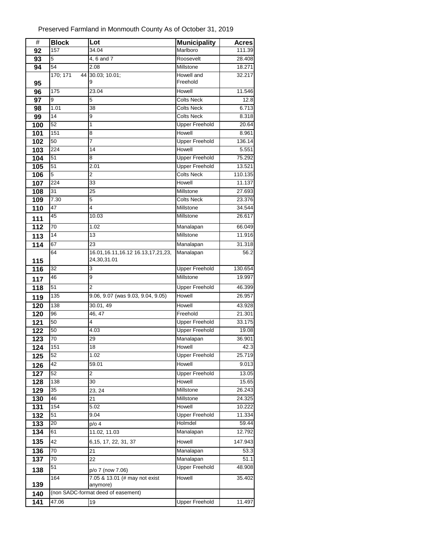| #   | <b>Block</b>     | Lot                                               | <b>Municipality</b>   | <b>Acres</b> |
|-----|------------------|---------------------------------------------------|-----------------------|--------------|
| 92  | 157              | 34.04                                             | Marlboro              | 111.39       |
| 93  | 5                | 4, 6 and 7                                        | Roosevelt             | 28.408       |
| 94  | 54               | 2.08                                              | Millstone             | 18.271       |
|     | 170; 171         | 44 30.03; 10.01;                                  | Howell and            | 32.217       |
| 95  |                  | 9                                                 | Freehold              |              |
| 96  | 175              | 23.04                                             | Howell                | 11.546       |
| 97  | 9                | 5                                                 | <b>Colts Neck</b>     | 12.8         |
| 98  | 1.01             | 38                                                | <b>Colts Neck</b>     | 6.713        |
| 99  | 14               | 9                                                 | <b>Colts Neck</b>     | 8.318        |
| 100 | 52               | 1                                                 | <b>Upper Freehold</b> | 20.64        |
| 101 | 151              | 8                                                 | Howell                | 8.961        |
| 102 | 50               | 7                                                 | <b>Upper Freehold</b> | 136.14       |
| 103 | 224              | 14                                                | Howell                | 5.551        |
| 104 | 51               | 8                                                 | <b>Upper Freehold</b> | 75.292       |
| 105 | 51               | 2.01                                              | <b>Upper Freehold</b> | 13.521       |
| 106 | 5                | $\overline{2}$                                    | <b>Colts Neck</b>     | 110.135      |
| 107 | 224              | 33                                                | Howell                | 11.137       |
| 108 | 31               | 25                                                | Millstone             | 27.693       |
| 109 | 7.30             | 5                                                 | <b>Colts Neck</b>     | 23.376       |
| 110 | 47               | 4                                                 | Millstone             | 34.544       |
| 111 | 45               | 10.03                                             | Millstone             | 26.617       |
| 112 | 70               | 1.02                                              | Manalapan             | 66.049       |
| 113 | 14               | 13                                                | Millstone             | 11.916       |
| 114 | 67               | 23                                                | Manalapan             | 31.318       |
|     | 64               | 16.01, 16.11, 16.12 16.13, 17, 21, 23,            | Manalapan             | 56.2         |
| 115 |                  | 24,30,31.01                                       |                       |              |
| 116 | 32               | 3                                                 | <b>Upper Freehold</b> | 130.654      |
| 117 | 46               | 9                                                 | Millstone             | 19.997       |
| 118 | 51               | $\overline{2}$                                    | <b>Upper Freehold</b> | 46.399       |
| 119 | 135              | 9.06, 9.07 (was 9.03, 9.04, 9.05)                 | Howell                | 26.957       |
| 120 | 138              | 30.01, 49                                         | Howell                | 43.928       |
| 120 | 96               | 46, 47                                            | Freehold              | 21.301       |
| 121 | 50               | 4                                                 | <b>Upper Freehold</b> | 33.175       |
| 122 | 50               | 4.03                                              | <b>Upper Freehold</b> | 19.08        |
| 123 | 70               | 29                                                | Manalapan             | 36.901       |
| 124 | 151              | 18                                                | Howell                | 42.3         |
| 125 | 52               | 1.02                                              | <b>Upper Freehold</b> | 25.719       |
| 126 | 42               | 59.01                                             | Howell                | 9.013        |
| 127 | 52               | 2                                                 | <b>Upper Freehold</b> | 13.05        |
| 128 | 138              | 30                                                | Howell                | 15.65        |
| 129 | 35               | 23, 24                                            | Millstone             | 26.243       |
| 130 | 46               | 21                                                | Millstone             | 24.325       |
| 131 | $\overline{1}54$ | $\overline{5.02}$                                 | Howell                | 10.222       |
| 132 | 51               | 9.04                                              | <b>Upper Freehold</b> | 11.334       |
| 133 | 20               | p/o 4                                             | Holmdel               | 59.44        |
| 134 | 61               | 11.02, 11.03                                      | Manalapan             | 12.792       |
| 135 | 42               | 6, 15, 17, 22, 31, 37                             | Howell                | 147.943      |
| 136 | 70               | 21                                                | Manalapan             | 53.3         |
| 137 | 70               | 22                                                | Manalapan             | 51.1         |
|     | 51               |                                                   | <b>Upper Freehold</b> | 48.908       |
| 138 | 164              | p/o 7 (now 7.06)<br>7.05 & 13.01 (# may not exist | Howell                | 35.402       |
| 139 |                  | anymore)                                          |                       |              |
| 140 |                  | (non SADC-format deed of easement)                |                       |              |
| 141 | 47.06            | 19                                                | <b>Upper Freehold</b> | 11.497       |
|     |                  |                                                   |                       |              |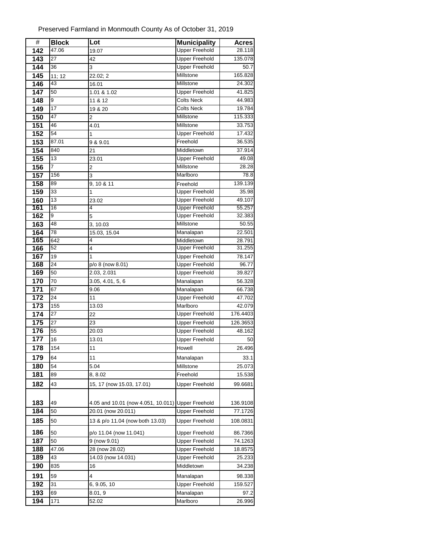| $\#$ | <b>Block</b> | Lot                                               | <b>Municipality</b>   | <b>Acres</b> |
|------|--------------|---------------------------------------------------|-----------------------|--------------|
| 142  | 47.06        | 19.07                                             | <b>Upper Freehold</b> | 28.118       |
| 143  | 27           | 42                                                | <b>Upper Freehold</b> | 135.078      |
| 144  | 36           | 3                                                 | <b>Upper Freehold</b> | 50.7         |
| 145  | 11; 12       | 22.02; 2                                          | Millstone             | 165.828      |
| 146  | 43           | 16.01                                             | Millstone             | 24.302       |
| 147  | 50           | 1.01 & 1.02                                       | <b>Upper Freehold</b> | 41.825       |
| 148  | 9            | 11 & 12                                           | <b>Colts Neck</b>     | 44.983       |
| 149  | 17           | 19 & 20                                           | <b>Colts Neck</b>     | 19.784       |
| 150  | 47           | 2                                                 | Millstone             | 115.333      |
| 151  | 46           | 4.01                                              | Millstone             | 33.753       |
| 152  | 54           | 1                                                 | <b>Upper Freehold</b> | 17.432       |
| 153  | 87.01        | 9 & 9.01                                          | Freehold              | 36.535       |
| 154  | 840          | 21                                                | Middletown            | 37.914       |
| 155  | 13           | 23.01                                             | <b>Upper Freehold</b> | 49.08        |
| 156  | 7            | 2                                                 | Millstone             | 28.28        |
| 157  | 156          | 3                                                 | Marlboro              | 78.8         |
| 158  | 89           | 9, 10 & 11                                        | Freehold              | 139.139      |
| 159  | 33           | 1                                                 | <b>Upper Freehold</b> | 35.98        |
| 160  | 13           | 23.02                                             | <b>Upper Freehold</b> | 49.107       |
| 161  | 16           | 4                                                 | <b>Upper Freehold</b> | 55.257       |
| 162  | 9            | 5                                                 | <b>Upper Freehold</b> | 32.383       |
| 163  | 48           | 3, 10.03                                          | Millstone             | 50.55        |
| 164  | 78           | 15.03, 15.04                                      | Manalapan             | 22.501       |
| 165  | 642          | 4                                                 | Middletown            | 28.791       |
| 166  | 52           | 4                                                 | <b>Upper Freehold</b> | 31.255       |
| 167  | 19           | 1                                                 | <b>Upper Freehold</b> | 78.147       |
| 168  | 24           | p/o 8 (now 8.01)                                  | <b>Upper Freehold</b> | 96.77        |
| 169  | 50           | 2.03, 2.031                                       | <b>Upper Freehold</b> | 39.827       |
| 170  | 70           | 3.05, 4.01, 5, 6                                  | Manalapan             | 56.328       |
| 171  | 67           | 9.06                                              | Manalapan             | 66.738       |
| 172  | 24           | 11                                                | <b>Upper Freehold</b> | 47.702       |
| 173  | 155          | 13.03                                             | Marlboro              | 42.079       |
| 174  | 27           | 22                                                | <b>Upper Freehold</b> | 176.4403     |
| 175  | 27           | 23                                                | <b>Upper Freehold</b> | 126.3653     |
| 176  | 55           | 20.03                                             | <b>Upper Freehold</b> | 48.162       |
| 177  | 16           | 13.01                                             | <b>Upper Freehold</b> | 50           |
| 178  | 154          | 11                                                | Howell                | 26.496       |
| 179  | 64           | 11                                                | Manalapan             | 33.1         |
| 180  | 54           | 5.04                                              | Millstone             | 25.073       |
| 181  | 89           | 8, 8.02                                           | Freehold              | 15.538       |
| 182  | 43           | 15, 17 (now 15.03, 17.01)                         | <b>Upper Freehold</b> | 99.6681      |
|      |              |                                                   |                       |              |
| 183  | 49           | 4.05 and 10.01 (now 4.051, 10.011) Upper Freehold |                       | 136.9108     |
| 184  | 50           | 20.01 (now 20.011)                                | <b>Upper Freehold</b> | 77.1726      |
| 185  |              |                                                   |                       |              |
|      | 50           | 13 & p/o 11.04 (now both 13.03)                   | <b>Upper Freehold</b> | 108.0831     |
| 186  | 50           | p/o 11.04 (now 11.041)                            | <b>Upper Freehold</b> | 86.7366      |
| 187  | 50           | 9 (now 9.01)                                      | <b>Upper Freehold</b> | 74.1263      |
| 188  | 47.06        | 28 (now 28.02)                                    | <b>Upper Freehold</b> | 18.8575      |
| 189  | 43           | 14.03 (now 14.031)                                | <b>Upper Freehold</b> | 25.233       |
| 190  | 835          | 16                                                | Middletown            | 34.238       |
| 191  | 59           | 4                                                 | Manalapan             | 98.338       |
| 192  | 31           | 6, 9.05, 10                                       | <b>Upper Freehold</b> | 159.527      |
| 193  | 69           | 8.01, 9                                           | Manalapan             | 97.2         |
| 194  | 171          | 52.02                                             | Marlboro              | 26.996       |